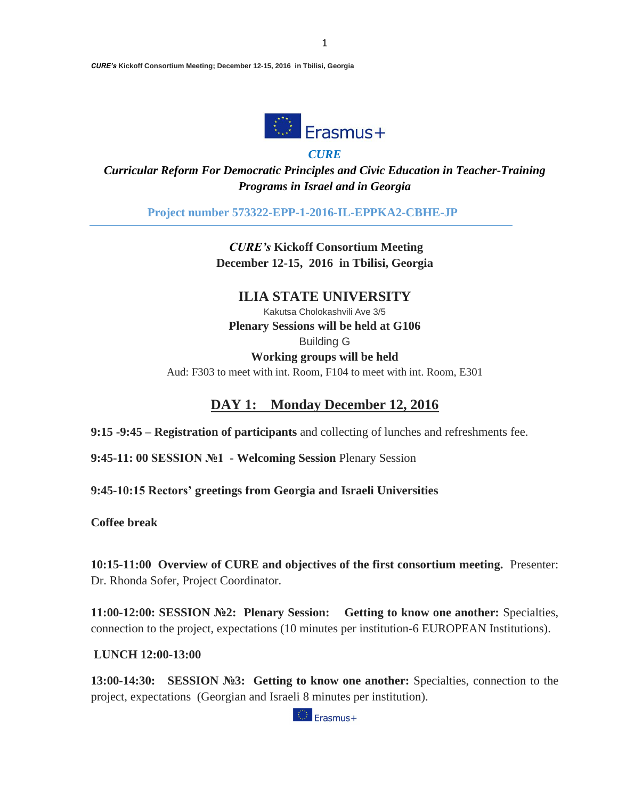

*CURE*

*Curricular Reform For Democratic Principles and Civic Education in Teacher-Training Programs in Israel and in Georgia*

**Project number 573322-EPP-1-2016-IL-EPPKA2-CBHE-JP**

*CURE's* **Kickoff Consortium Meeting December 12-15, 2016 in Tbilisi, Georgia**

### **ILIA STATE UNIVERSITY**

Kakutsa Cholokashvili Ave 3/5 **Plenary Sessions will be held at G106** Building G

**Working groups will be held**

Aud: F303 to meet with int. Room, F104 to meet with int. Room, E301

### **DAY 1: Monday December 12, 2016**

**9:15 -9:45 – Registration of participants** and collecting of lunches and refreshments fee.

**9:45-11: 00 SESSION №1 - Welcoming Session** Plenary Session

**9:45-10:15 Rectors' greetings from Georgia and Israeli Universities**

**Coffee break** 

**10:15-11:00 Overview of CURE and objectives of the first consortium meeting.** Presenter: Dr. Rhonda Sofer, Project Coordinator.

**11:00-12:00: SESSION №2: Plenary Session: Getting to know one another:** Specialties, connection to the project, expectations (10 minutes per institution-6 EUROPEAN Institutions).

**LUNCH 12:00-13:00**

**13:00-14:30:** SESSION №3: Getting to know one another: Specialties, connection to the project, expectations (Georgian and Israeli 8 minutes per institution).

<sup>1</sup>Erasmus+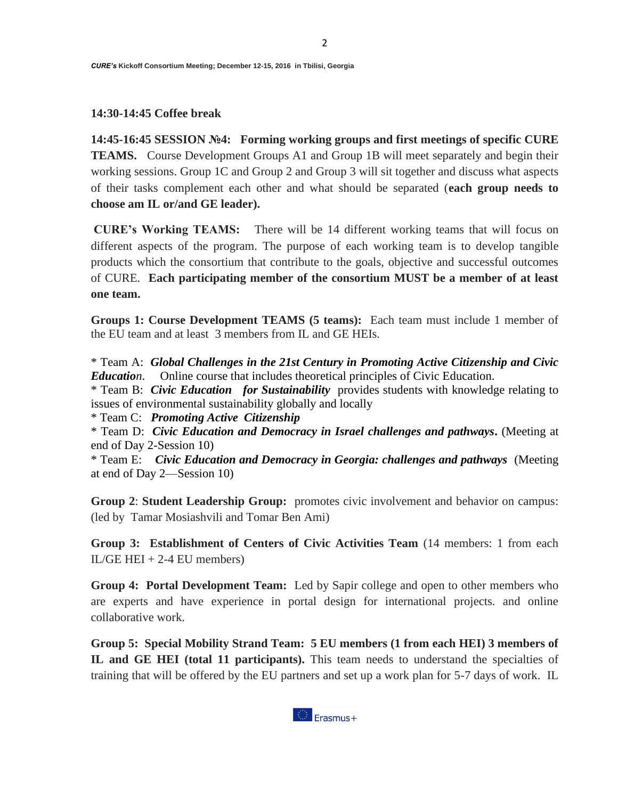#### **14:30-14:45 Coffee break**

**14:45-16:45 SESSION №4: Forming working groups and first meetings of specific CURE TEAMS.** Course Development Groups A1 and Group 1B will meet separately and begin their working sessions. Group 1C and Group 2 and Group 3 will sit together and discuss what aspects of their tasks complement each other and what should be separated (**each group needs to choose am IL or/and GE leader).**

**CURE's Working TEAMS:** There will be 14 different working teams that will focus on different aspects of the program. The purpose of each working team is to develop tangible products which the consortium that contribute to the goals, objective and successful outcomes of CURE. **Each participating member of the consortium MUST be a member of at least one team.** 

**Groups 1: Course Development TEAMS (5 teams):** Each team must include 1 member of the EU team and at least 3 members from IL and GE HEIs.

\* Team A: *Global Challenges in the 21st Century in Promoting Active Citizenship and Civic Education*. Online course that includes theoretical principles of Civic Education.

\* Team B: *Civic Education for Sustainability* provides students with knowledge relating to issues of environmental sustainability globally and locally

\* Team C: *Promoting Active Citizenship*

\* Team D: *Civic Education and Democracy in Israel challenges and pathways***.** (Meeting at end of Day 2-Session 10)

\* Team E: *Civic Education and Democracy in Georgia: challenges and pathways* (Meeting at end of Day 2—Session 10)

**Group 2**: **Student Leadership Group:** promotes civic involvement and behavior on campus: (led by Tamar Mosiashvili and Tomar Ben Ami)

**Group 3: Establishment of Centers of Civic Activities Team** (14 members: 1 from each  $IL/GE HEI + 2-4 EU members)$ 

**Group 4: Portal Development Team:** Led by Sapir college and open to other members who are experts and have experience in portal design for international projects. and online collaborative work.

**Group 5: Special Mobility Strand Team: 5 EU members (1 from each HEI) 3 members of IL and GE HEI (total 11 participants).** This team needs to understand the specialties of training that will be offered by the EU partners and set up a work plan for 5-7 days of work. IL

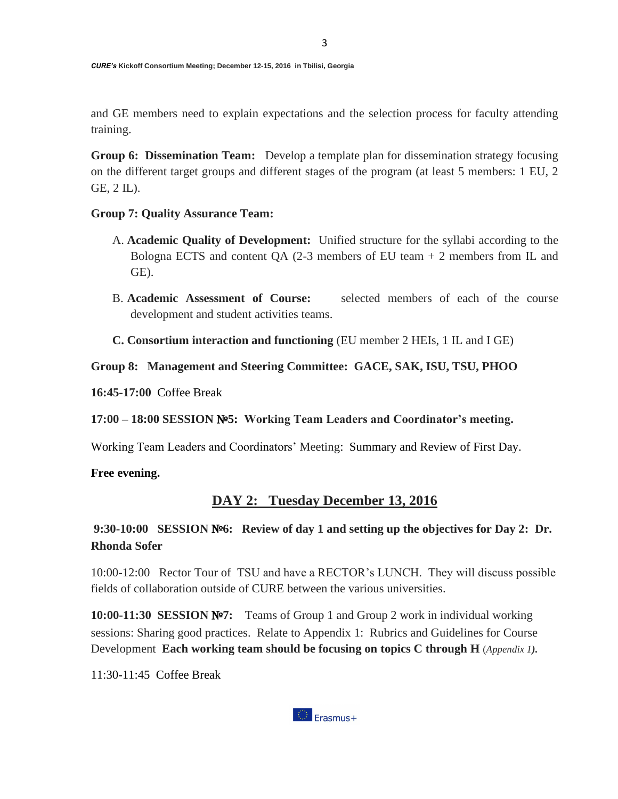and GE members need to explain expectations and the selection process for faculty attending training.

**Group 6: Dissemination Team:** Develop a template plan for dissemination strategy focusing on the different target groups and different stages of the program (at least 5 members: 1 EU, 2 GE, 2 IL).

### **Group 7: Quality Assurance Team:**

- A. **Academic Quality of Development:** Unified structure for the syllabi according to the Bologna ECTS and content QA  $(2-3$  members of EU team  $+2$  members from IL and GE).
- B. **Academic Assessment of Course:** selected members of each of the course development and student activities teams.
- **C. Consortium interaction and functioning** (EU member 2 HEIs, 1 IL and I GE)

**Group 8: Management and Steering Committee: GACE, SAK, ISU, TSU, PHOO**

**16:45-17:00** Coffee Break

**17:00 – 18:00 SESSION** №**5: Working Team Leaders and Coordinator's meeting.**

Working Team Leaders and Coordinators' Meeting: Summary and Review of First Day.

**Free evening.**

### **DAY 2: Tuesday December 13, 2016**

**9:30-10:00 SESSION** №**6: Review of day 1 and setting up the objectives for Day 2: Dr. Rhonda Sofer**

10:00-12:00 Rector Tour of TSU and have a RECTOR's LUNCH. They will discuss possible fields of collaboration outside of CURE between the various universities.

**10:00-11:30 SESSION** №**7:** Teams of Group 1 and Group 2 work in individual working sessions: Sharing good practices. Relate to Appendix 1: Rubrics and Guidelines for Course Development **Each working team should be focusing on topics C through H** (*Appendix 1).*

11:30-11:45 Coffee Break

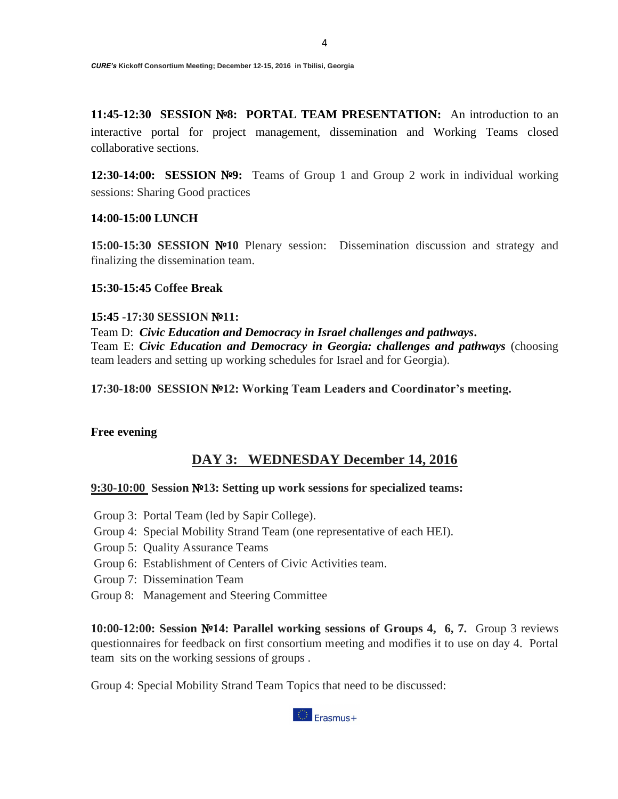**11:45-12:30 SESSION** №**8: PORTAL TEAM PRESENTATION:** An introduction to an interactive portal for project management, dissemination and Working Teams closed collaborative sections.

**12:30-14:00: SESSION** №**9:** Teams of Group 1 and Group 2 work in individual working sessions: Sharing Good practices

### **14:00-15:00 LUNCH**

**15:00-15:30 SESSION** №**10** Plenary session: Dissemination discussion and strategy and finalizing the dissemination team.

### **15:30-15:45 Coffee Break**

#### **15:45 -17:30 SESSION** №**11:**

Team D: *Civic Education and Democracy in Israel challenges and pathways***.** Team E: *Civic Education and Democracy in Georgia: challenges and pathways* (choosing team leaders and setting up working schedules for Israel and for Georgia).

**17:30-18:00 SESSION** №**12: Working Team Leaders and Coordinator's meeting.**

#### **Free evening**

### **DAY 3: WEDNESDAY December 14, 2016**

#### **9:30-10:00 Session** №**13: Setting up work sessions for specialized teams:**

- Group 3: Portal Team (led by Sapir College).
- Group 4: Special Mobility Strand Team (one representative of each HEI).
- Group 5: Quality Assurance Teams
- Group 6: Establishment of Centers of Civic Activities team.
- Group 7: Dissemination Team
- Group 8: Management and Steering Committee

**10:00-12:00: Session** №**14: Parallel working sessions of Groups 4, 6, 7.** Group 3 reviews questionnaires for feedback on first consortium meeting and modifies it to use on day 4. Portal team sits on the working sessions of groups .

Group 4: Special Mobility Strand Team Topics that need to be discussed:

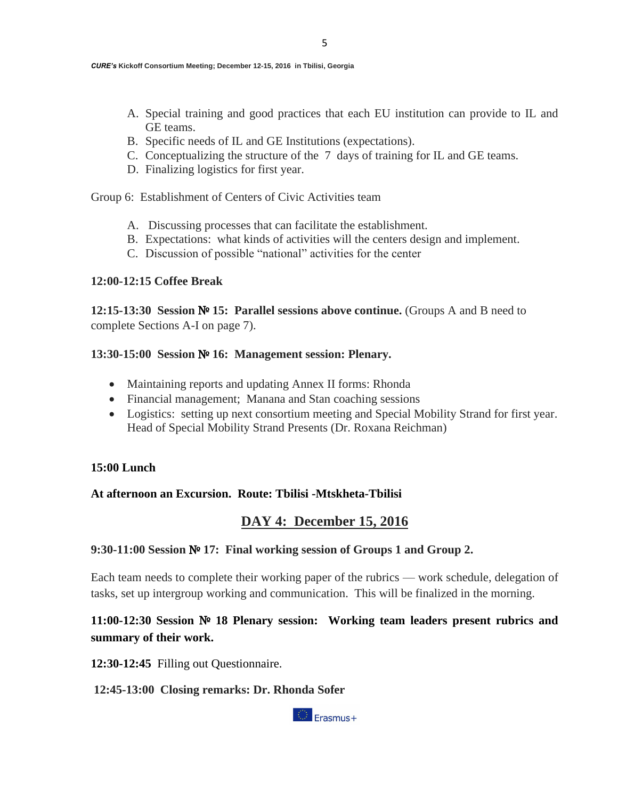- A. Special training and good practices that each EU institution can provide to IL and GE teams.
- B. Specific needs of IL and GE Institutions (expectations).
- C. Conceptualizing the structure of the 7 days of training for IL and GE teams.
- D. Finalizing logistics for first year.

Group 6: Establishment of Centers of Civic Activities team

- A. Discussing processes that can facilitate the establishment.
- B. Expectations: what kinds of activities will the centers design and implement.
- C. Discussion of possible "national" activities for the center

### **12:00-12:15 Coffee Break**

**12:15-13:30 Session** № **15: Parallel sessions above continue.** (Groups A and B need to complete Sections A-I on page 7).

### **13:30-15:00 Session** № **16: Management session: Plenary.**

- Maintaining reports and updating Annex II forms: Rhonda
- Financial management; Manana and Stan coaching sessions
- Logistics: setting up next consortium meeting and Special Mobility Strand for first year. Head of Special Mobility Strand Presents (Dr. Roxana Reichman)

# **15:00 Lunch**

# **At afternoon an Excursion. Route: Tbilisi -Mtskheta-Tbilisi**

# **DAY 4: December 15, 2016**

# **9:30-11:00 Session** № **17: Final working session of Groups 1 and Group 2.**

Each team needs to complete their working paper of the rubrics — work schedule, delegation of tasks, set up intergroup working and communication. This will be finalized in the morning.

# **11:00-12:30 Session** № **18 Plenary session: Working team leaders present rubrics and summary of their work.**

**12:30-12:45** Filling out Questionnaire.

# **12:45-13:00 Closing remarks: Dr. Rhonda Sofer**

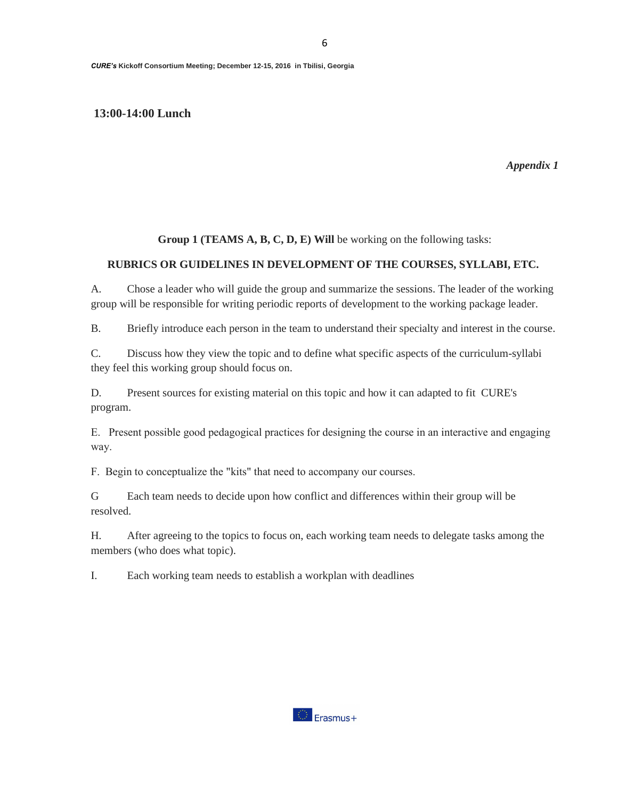#### **13:00-14:00 Lunch**

*Appendix 1* 

### **Group 1 (TEAMS A, B, C, D, E) Will** be working on the following tasks:

#### **RUBRICS OR GUIDELINES IN DEVELOPMENT OF THE COURSES, SYLLABI, ETC.**

A. Chose a leader who will guide the group and summarize the sessions. The leader of the working group will be responsible for writing periodic reports of development to the working package leader.

B. Briefly introduce each person in the team to understand their specialty and interest in the course.

C. Discuss how they view the topic and to define what specific aspects of the curriculum-syllabi they feel this working group should focus on.

D. Present sources for existing material on this topic and how it can adapted to fit CURE's program.

E. Present possible good pedagogical practices for designing the course in an interactive and engaging way.

F. Begin to conceptualize the "kits" that need to accompany our courses.

G Each team needs to decide upon how conflict and differences within their group will be resolved.

H. After agreeing to the topics to focus on, each working team needs to delegate tasks among the members (who does what topic).

I. Each working team needs to establish a workplan with deadlines